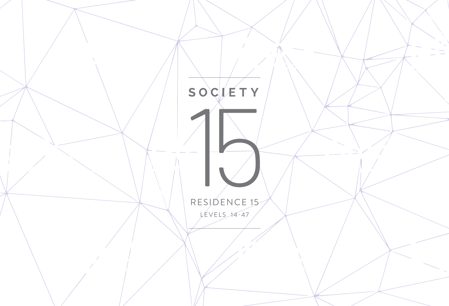